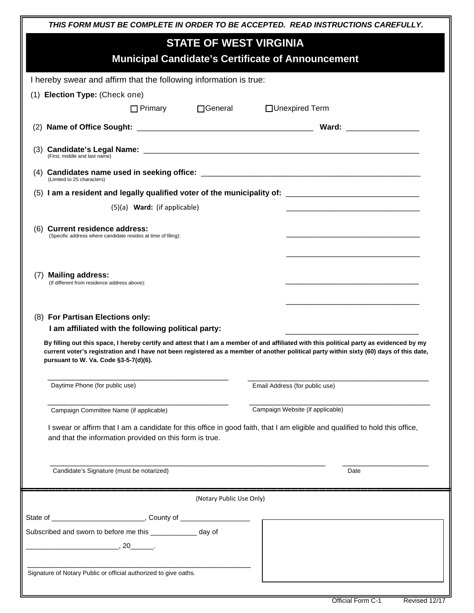| THIS FORM MUST BE COMPLETE IN ORDER TO BE ACCEPTED. READ INSTRUCTIONS CAREFULLY.<br><b>STATE OF WEST VIRGINIA</b><br><b>Municipal Candidate's Certificate of Announcement</b>                                                                                                                                                                                                                                           |                                    |                                                                   |  |
|-------------------------------------------------------------------------------------------------------------------------------------------------------------------------------------------------------------------------------------------------------------------------------------------------------------------------------------------------------------------------------------------------------------------------|------------------------------------|-------------------------------------------------------------------|--|
|                                                                                                                                                                                                                                                                                                                                                                                                                         |                                    | I hereby swear and affirm that the following information is true: |  |
|                                                                                                                                                                                                                                                                                                                                                                                                                         |                                    | (1) Election Type: (Check one)                                    |  |
| □ Primary □ General                                                                                                                                                                                                                                                                                                                                                                                                     | □Unexpired Term                    |                                                                   |  |
|                                                                                                                                                                                                                                                                                                                                                                                                                         |                                    |                                                                   |  |
| (First, middle and last name)                                                                                                                                                                                                                                                                                                                                                                                           |                                    |                                                                   |  |
| (Limited to 25 characters)                                                                                                                                                                                                                                                                                                                                                                                              |                                    |                                                                   |  |
|                                                                                                                                                                                                                                                                                                                                                                                                                         |                                    |                                                                   |  |
| (5)(a) Ward: (if applicable)                                                                                                                                                                                                                                                                                                                                                                                            |                                    |                                                                   |  |
| (6) Current residence address:<br>(Specific address where candidate resides at time of filing):                                                                                                                                                                                                                                                                                                                         |                                    |                                                                   |  |
| <b>Mailing address:</b><br>(7)<br>(If different from residence address above):                                                                                                                                                                                                                                                                                                                                          |                                    |                                                                   |  |
| (8) For Partisan Elections only:<br>I am affiliated with the following political party:<br>By filling out this space, I hereby certify and attest that I am a member of and affiliated with this political party as evidenced by my<br>current voter's registration and I have not been registered as a member of another political party within sixty (60) days of this date,<br>pursuant to W. Va. Code §3-5-7(d)(6). |                                    |                                                                   |  |
| Daytime Phone (for public use)                                                                                                                                                                                                                                                                                                                                                                                          | Email Address (for public use)     |                                                                   |  |
| Campaign Committee Name (if applicable)                                                                                                                                                                                                                                                                                                                                                                                 | Campaign Website (if applicable)   |                                                                   |  |
| I swear or affirm that I am a candidate for this office in good faith, that I am eligible and qualified to hold this office,<br>and that the information provided on this form is true.                                                                                                                                                                                                                                 |                                    |                                                                   |  |
| Candidate's Signature (must be notarized)                                                                                                                                                                                                                                                                                                                                                                               | Date                               |                                                                   |  |
| (Notary Public Use Only)                                                                                                                                                                                                                                                                                                                                                                                                |                                    |                                                                   |  |
|                                                                                                                                                                                                                                                                                                                                                                                                                         |                                    |                                                                   |  |
| Subscribed and sworn to before me this _____________ day of<br>$, 20$ $.$                                                                                                                                                                                                                                                                                                                                               |                                    |                                                                   |  |
| Signature of Notary Public or official authorized to give oaths.                                                                                                                                                                                                                                                                                                                                                        |                                    |                                                                   |  |
|                                                                                                                                                                                                                                                                                                                                                                                                                         | Official Form C-1<br>Revised 12/17 |                                                                   |  |